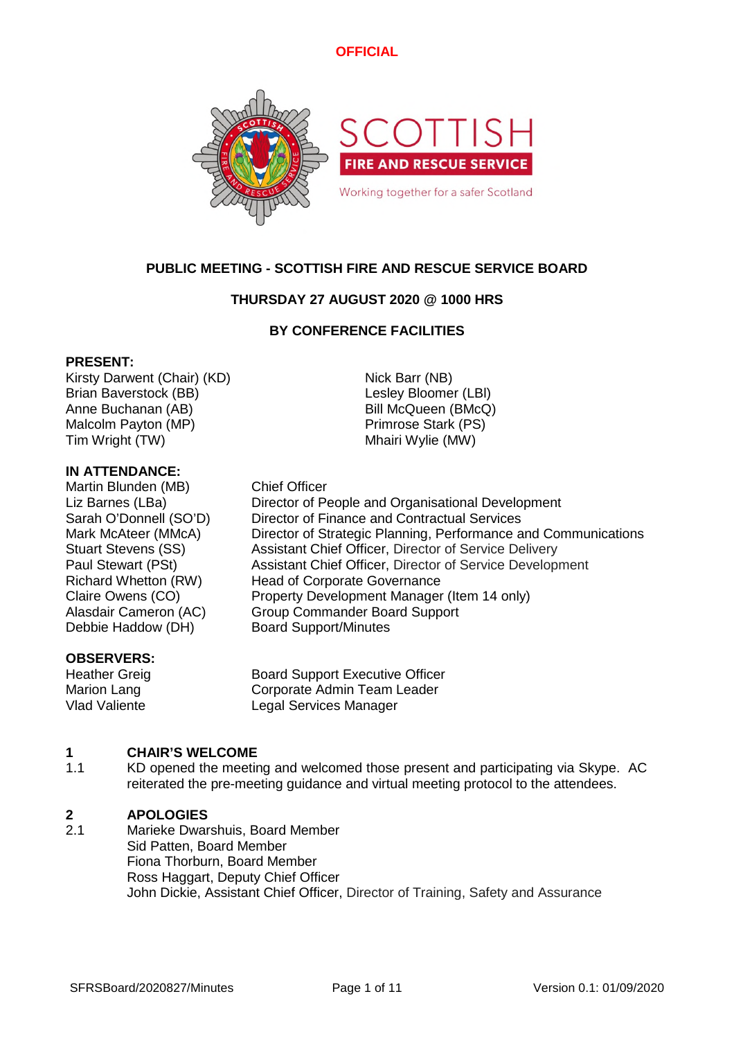

# **PUBLIC MEETING - SCOTTISH FIRE AND RESCUE SERVICE BOARD**

# **THURSDAY 27 AUGUST 2020 @ 1000 HRS**

### **BY CONFERENCE FACILITIES**

### **PRESENT:**

Kirsty Darwent (Chair) (KD) Nick Barr (NB) Brian Baverstock (BB) Contract Contract Contract Lesley Bloomer (LBI) Anne Buchanan (AB) Bill McQueen (BMcQ) Malcolm Payton (MP) **Primrose Stark (PS)** Tim Wright (TW) Tim Wright (TW)

### **IN ATTENDANCE:**

Martin Blunden (MB) Chief Officer Debbie Haddow (DH) Board Support/Minutes

### **OBSERVERS:**

Liz Barnes (LBa) Director of People and Organisational Development Sarah O'Donnell (SO'D) Director of Finance and Contractual Services Mark McAteer (MMcA) Director of Strategic Planning, Performance and Communications Stuart Stevens (SS) Assistant Chief Officer, Director of Service Delivery Paul Stewart (PSt) Assistant Chief Officer, Director of Service Development Richard Whetton (RW) Head of Corporate Governance Claire Owens (CO) Property Development Manager (Item 14 only) Alasdair Cameron (AC) Group Commander Board Support

Heather Greig Board Support Executive Officer Marion Lang **Corporate Admin Team Leader** Vlad Valiente Legal Services Manager

#### **1 CHAIR'S WELCOME**

1.1 KD opened the meeting and welcomed those present and participating via Skype. AC reiterated the pre-meeting guidance and virtual meeting protocol to the attendees.

#### **2 APOLOGIES**

2.1 Marieke Dwarshuis, Board Member Sid Patten, Board Member Fiona Thorburn, Board Member Ross Haggart, Deputy Chief Officer John Dickie, Assistant Chief Officer, Director of Training, Safety and Assurance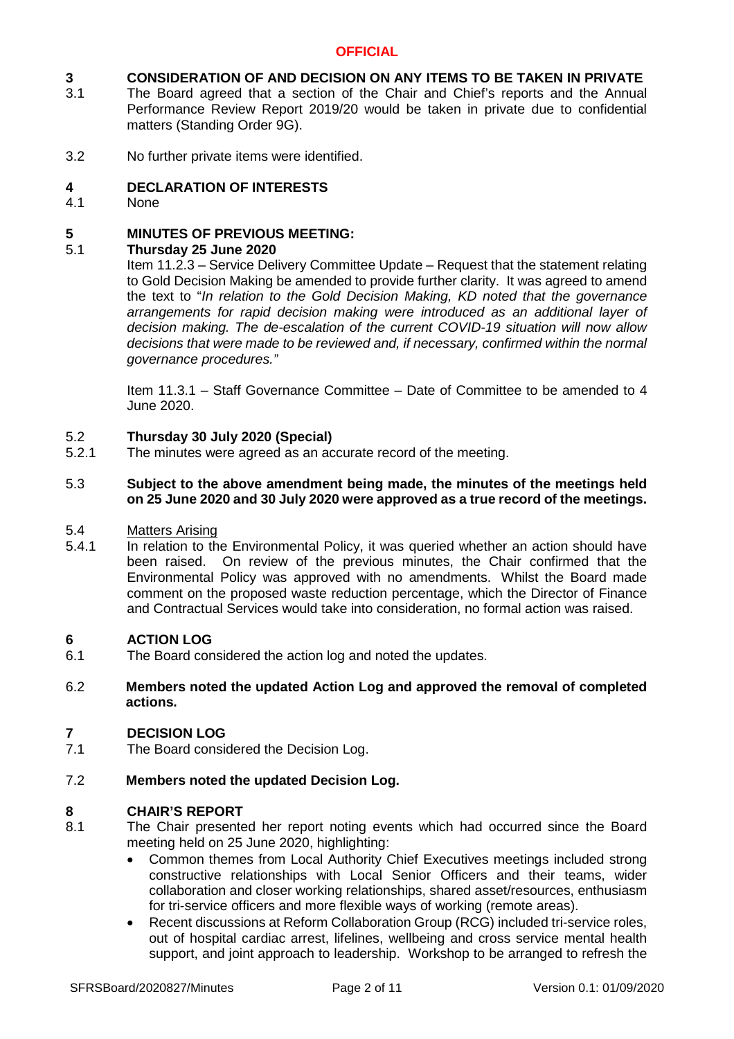#### **3 CONSIDERATION OF AND DECISION ON ANY ITEMS TO BE TAKEN IN PRIVATE**

- 3.1 The Board agreed that a section of the Chair and Chief's reports and the Annual Performance Review Report 2019/20 would be taken in private due to confidential matters (Standing Order 9G).
- 3.2 No further private items were identified.

#### **4 DECLARATION OF INTERESTS**

4.1 None

#### **5 MINUTES OF PREVIOUS MEETING:**

#### 5.1 **Thursday 25 June 2020**

Item 11.2.3 – Service Delivery Committee Update – Request that the statement relating to Gold Decision Making be amended to provide further clarity. It was agreed to amend the text to "*In relation to the Gold Decision Making, KD noted that the governance arrangements for rapid decision making were introduced as an additional layer of decision making. The de-escalation of the current COVID-19 situation will now allow decisions that were made to be reviewed and, if necessary, confirmed within the normal governance procedures."*

Item 11.3.1 – Staff Governance Committee – Date of Committee to be amended to 4 June 2020.

#### 5.2 **Thursday 30 July 2020 (Special)**

5.2.1 The minutes were agreed as an accurate record of the meeting.

#### 5.3 **Subject to the above amendment being made, the minutes of the meetings held on 25 June 2020 and 30 July 2020 were approved as a true record of the meetings.**

#### 5.4 Matters Arising

5.4.1 In relation to the Environmental Policy, it was queried whether an action should have been raised. On review of the previous minutes, the Chair confirmed that the Environmental Policy was approved with no amendments. Whilst the Board made comment on the proposed waste reduction percentage, which the Director of Finance and Contractual Services would take into consideration, no formal action was raised.

#### **6 ACTION LOG**

6.1 The Board considered the action log and noted the updates.

### 6.2 **Members noted the updated Action Log and approved the removal of completed actions.**

#### **7 DECISION LOG**

7.1 The Board considered the Decision Log.

#### 7.2 **Members noted the updated Decision Log.**

### **8 CHAIR'S REPORT**

- 8.1 The Chair presented her report noting events which had occurred since the Board meeting held on 25 June 2020, highlighting:
	- Common themes from Local Authority Chief Executives meetings included strong constructive relationships with Local Senior Officers and their teams, wider collaboration and closer working relationships, shared asset/resources, enthusiasm for tri-service officers and more flexible ways of working (remote areas).
	- Recent discussions at Reform Collaboration Group (RCG) included tri-service roles, out of hospital cardiac arrest, lifelines, wellbeing and cross service mental health support, and joint approach to leadership. Workshop to be arranged to refresh the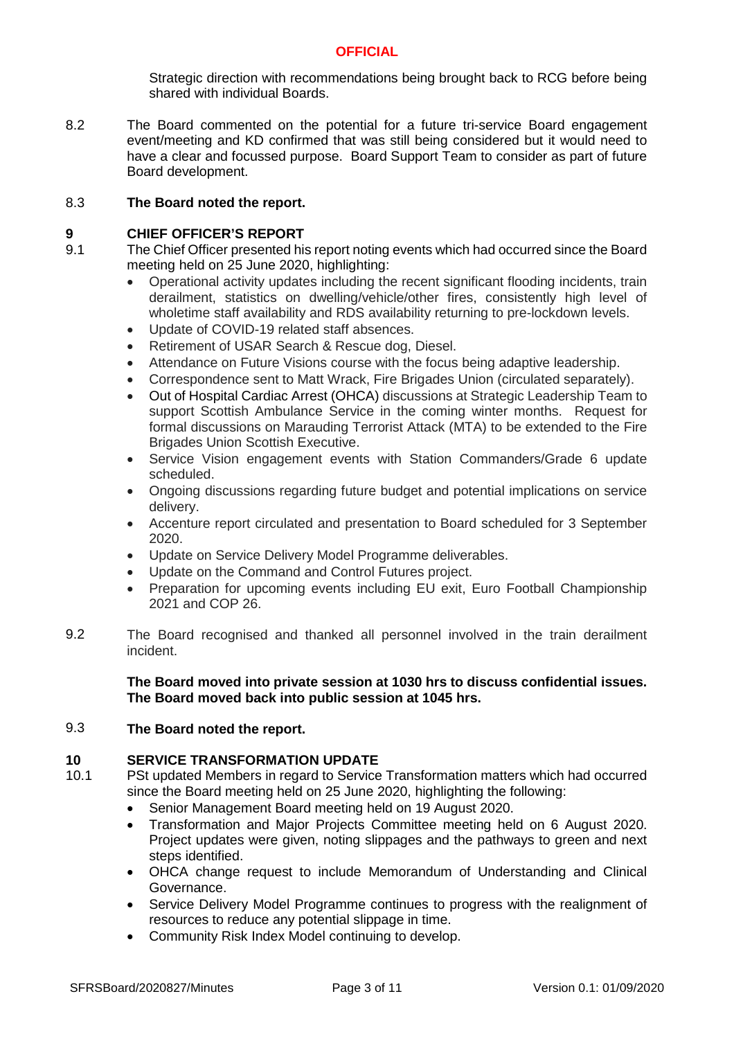Strategic direction with recommendations being brought back to RCG before being shared with individual Boards.

8.2 The Board commented on the potential for a future tri-service Board engagement event/meeting and KD confirmed that was still being considered but it would need to have a clear and focussed purpose. Board Support Team to consider as part of future Board development.

#### 8.3 **The Board noted the report.**

### **9 CHIEF OFFICER'S REPORT**

- 9.1 The Chief Officer presented his report noting events which had occurred since the Board meeting held on 25 June 2020, highlighting:
	- Operational activity updates including the recent significant flooding incidents, train derailment, statistics on dwelling/vehicle/other fires, consistently high level of wholetime staff availability and RDS availability returning to pre-lockdown levels.
	- Update of COVID-19 related staff absences.
	- Retirement of USAR Search & Rescue dog, Diesel.
	- Attendance on Future Visions course with the focus being adaptive leadership.
	- Correspondence sent to Matt Wrack, Fire Brigades Union (circulated separately).
	- Out of Hospital Cardiac Arrest (OHCA) discussions at Strategic Leadership Team to support Scottish Ambulance Service in the coming winter months. Request for formal discussions on Marauding Terrorist Attack (MTA) to be extended to the Fire Brigades Union Scottish Executive.
	- Service Vision engagement events with Station Commanders/Grade 6 update scheduled.
	- Ongoing discussions regarding future budget and potential implications on service delivery.
	- Accenture report circulated and presentation to Board scheduled for 3 September 2020.
	- Update on Service Delivery Model Programme deliverables.
	- Update on the Command and Control Futures project.
	- Preparation for upcoming events including EU exit. Euro Football Championship 2021 and COP 26.
- 9.2 The Board recognised and thanked all personnel involved in the train derailment incident.

### **The Board moved into private session at 1030 hrs to discuss confidential issues. The Board moved back into public session at 1045 hrs.**

#### 9.3 **The Board noted the report.**

### **10 SERVICE TRANSFORMATION UPDATE**

- 10.1 PSt updated Members in regard to Service Transformation matters which had occurred since the Board meeting held on 25 June 2020, highlighting the following:
	- Senior Management Board meeting held on 19 August 2020.
	- Transformation and Major Projects Committee meeting held on 6 August 2020. Project updates were given, noting slippages and the pathways to green and next steps identified.
	- OHCA change request to include Memorandum of Understanding and Clinical Governance.
	- Service Delivery Model Programme continues to progress with the realignment of resources to reduce any potential slippage in time.
	- Community Risk Index Model continuing to develop.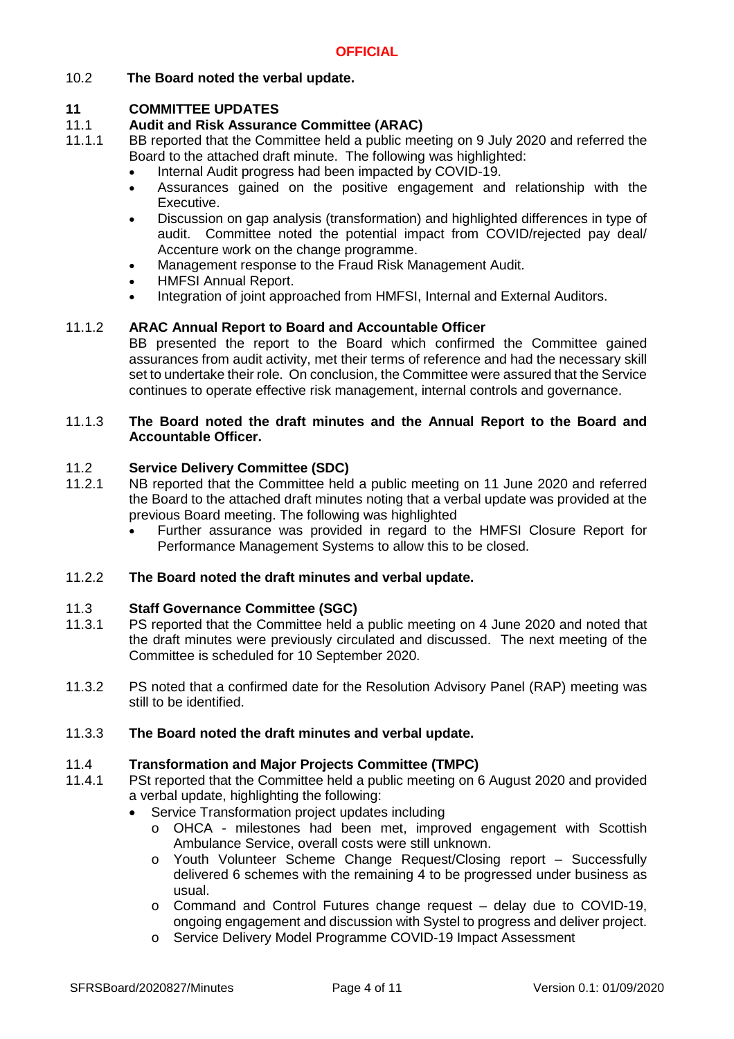# 10.2 **The Board noted the verbal update.**

# **11 COMMITTEE UPDATES**

#### 11.1 **Audit and Risk Assurance Committee (ARAC)**

- 11.1.1 BB reported that the Committee held a public meeting on 9 July 2020 and referred the Board to the attached draft minute. The following was highlighted:
	- Internal Audit progress had been impacted by COVID-19.
	- Assurances gained on the positive engagement and relationship with the Executive.
	- Discussion on gap analysis (transformation) and highlighted differences in type of audit. Committee noted the potential impact from COVID/rejected pay deal/ Accenture work on the change programme.
	- Management response to the Fraud Risk Management Audit.
	- HMFSI Annual Report.
	- Integration of joint approached from HMFSI, Internal and External Auditors.

#### 11.1.2 **ARAC Annual Report to Board and Accountable Officer**

BB presented the report to the Board which confirmed the Committee gained assurances from audit activity, met their terms of reference and had the necessary skill set to undertake their role. On conclusion, the Committee were assured that the Service continues to operate effective risk management, internal controls and governance.

#### 11.1.3 **The Board noted the draft minutes and the Annual Report to the Board and Accountable Officer.**

#### 11.2 **Service Delivery Committee (SDC)**

- 11.2.1 NB reported that the Committee held a public meeting on 11 June 2020 and referred the Board to the attached draft minutes noting that a verbal update was provided at the previous Board meeting. The following was highlighted
	- Further assurance was provided in regard to the HMFSI Closure Report for Performance Management Systems to allow this to be closed.

#### 11.2.2 **The Board noted the draft minutes and verbal update.**

#### 11.3 **Staff Governance Committee (SGC)**

- 11.3.1 PS reported that the Committee held a public meeting on 4 June 2020 and noted that the draft minutes were previously circulated and discussed. The next meeting of the Committee is scheduled for 10 September 2020.
- 11.3.2 PS noted that a confirmed date for the Resolution Advisory Panel (RAP) meeting was still to be identified.

#### 11.3.3 **The Board noted the draft minutes and verbal update.**

#### 11.4 **Transformation and Major Projects Committee (TMPC)**

- 11.4.1 PSt reported that the Committee held a public meeting on 6 August 2020 and provided a verbal update, highlighting the following:
	- Service Transformation project updates including
		- o OHCA milestones had been met, improved engagement with Scottish Ambulance Service, overall costs were still unknown.
		- o Youth Volunteer Scheme Change Request/Closing report Successfully delivered 6 schemes with the remaining 4 to be progressed under business as usual.
		- $\circ$  Command and Control Futures change request delay due to COVID-19. ongoing engagement and discussion with Systel to progress and deliver project.
		- o Service Delivery Model Programme COVID-19 Impact Assessment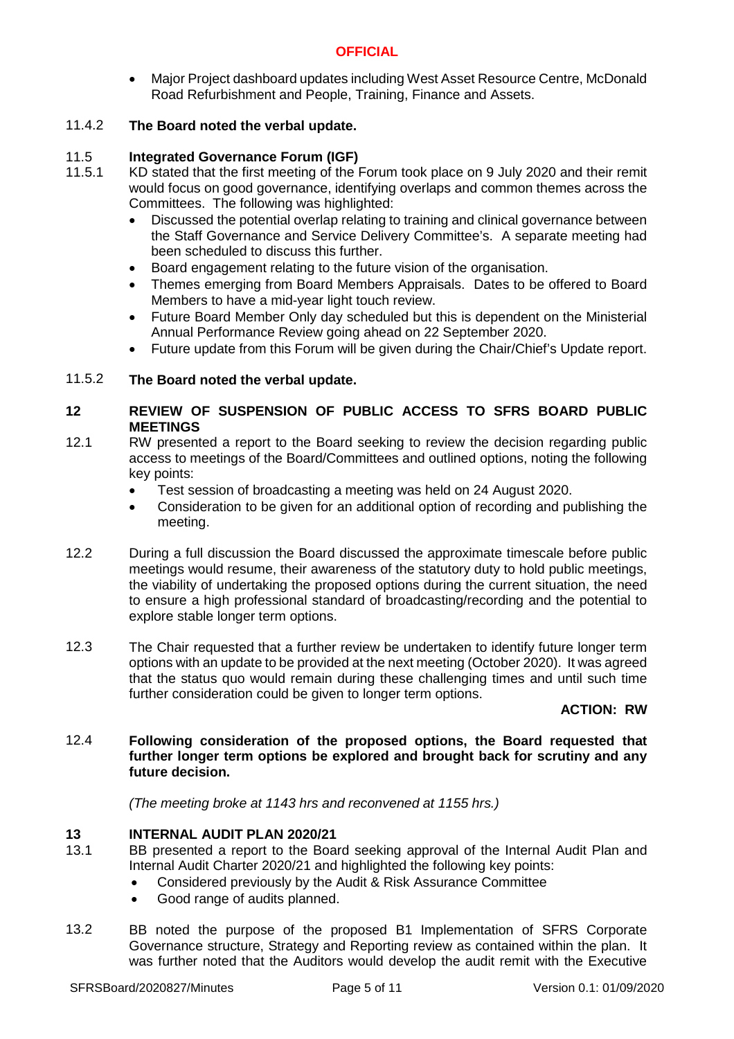Major Project dashboard updates including West Asset Resource Centre, McDonald Road Refurbishment and People, Training, Finance and Assets.

#### 11.4.2 **The Board noted the verbal update.**

#### 11.5 **Integrated Governance Forum (IGF)**

- 11.5.1 KD stated that the first meeting of the Forum took place on 9 July 2020 and their remit would focus on good governance, identifying overlaps and common themes across the Committees. The following was highlighted:
	- Discussed the potential overlap relating to training and clinical governance between the Staff Governance and Service Delivery Committee's. A separate meeting had been scheduled to discuss this further.
	- Board engagement relating to the future vision of the organisation.
	- Themes emerging from Board Members Appraisals. Dates to be offered to Board Members to have a mid-year light touch review.
	- Future Board Member Only day scheduled but this is dependent on the Ministerial Annual Performance Review going ahead on 22 September 2020.
	- Future update from this Forum will be given during the Chair/Chief's Update report.

#### 11.5.2 **The Board noted the verbal update.**

# **12 REVIEW OF SUSPENSION OF PUBLIC ACCESS TO SFRS BOARD PUBLIC MEETINGS**

- 12.1 RW presented a report to the Board seeking to review the decision regarding public access to meetings of the Board/Committees and outlined options, noting the following key points:
	- Test session of broadcasting a meeting was held on 24 August 2020.
	- Consideration to be given for an additional option of recording and publishing the meeting.
- 12.2 During a full discussion the Board discussed the approximate timescale before public meetings would resume, their awareness of the statutory duty to hold public meetings, the viability of undertaking the proposed options during the current situation, the need to ensure a high professional standard of broadcasting/recording and the potential to explore stable longer term options.
- 12.3 The Chair requested that a further review be undertaken to identify future longer term options with an update to be provided at the next meeting (October 2020). It was agreed that the status quo would remain during these challenging times and until such time further consideration could be given to longer term options.

### **ACTION: RW**

### 12.4 **Following consideration of the proposed options, the Board requested that further longer term options be explored and brought back for scrutiny and any future decision.**

*(The meeting broke at 1143 hrs and reconvened at 1155 hrs.)*

### **13 INTERNAL AUDIT PLAN 2020/21**

- 13.1 BB presented a report to the Board seeking approval of the Internal Audit Plan and Internal Audit Charter 2020/21 and highlighted the following key points:
	- Considered previously by the Audit & Risk Assurance Committee
	- Good range of audits planned.
- 13.2 BB noted the purpose of the proposed B1 Implementation of SFRS Corporate Governance structure, Strategy and Reporting review as contained within the plan. It was further noted that the Auditors would develop the audit remit with the Executive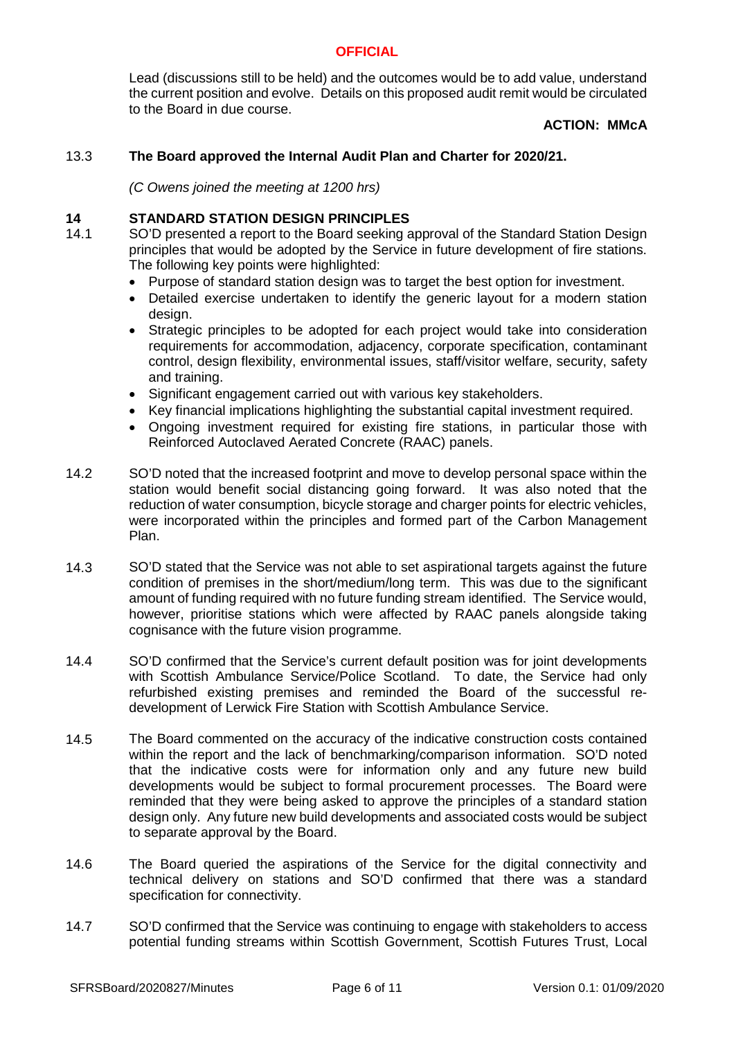Lead (discussions still to be held) and the outcomes would be to add value, understand the current position and evolve. Details on this proposed audit remit would be circulated to the Board in due course.

# **ACTION: MMcA**

#### 13.3 **The Board approved the Internal Audit Plan and Charter for 2020/21.**

*(C Owens joined the meeting at 1200 hrs)*

### **14 STANDARD STATION DESIGN PRINCIPLES**

- 14.1 SO'D presented a report to the Board seeking approval of the Standard Station Design principles that would be adopted by the Service in future development of fire stations. The following key points were highlighted:
	- Purpose of standard station design was to target the best option for investment.
	- Detailed exercise undertaken to identify the generic layout for a modern station design.
	- Strategic principles to be adopted for each project would take into consideration requirements for accommodation, adjacency, corporate specification, contaminant control, design flexibility, environmental issues, staff/visitor welfare, security, safety and training.
	- Significant engagement carried out with various key stakeholders.
	- Key financial implications highlighting the substantial capital investment required.
	- Ongoing investment required for existing fire stations, in particular those with Reinforced Autoclaved Aerated Concrete (RAAC) panels.
- 14.2 SO'D noted that the increased footprint and move to develop personal space within the station would benefit social distancing going forward. It was also noted that the reduction of water consumption, bicycle storage and charger points for electric vehicles, were incorporated within the principles and formed part of the Carbon Management Plan.
- 14.3 SO'D stated that the Service was not able to set aspirational targets against the future condition of premises in the short/medium/long term. This was due to the significant amount of funding required with no future funding stream identified. The Service would, however, prioritise stations which were affected by RAAC panels alongside taking cognisance with the future vision programme.
- 14.4 SO'D confirmed that the Service's current default position was for joint developments with Scottish Ambulance Service/Police Scotland. To date, the Service had only refurbished existing premises and reminded the Board of the successful redevelopment of Lerwick Fire Station with Scottish Ambulance Service.
- 14.5 The Board commented on the accuracy of the indicative construction costs contained within the report and the lack of benchmarking/comparison information. SO'D noted that the indicative costs were for information only and any future new build developments would be subject to formal procurement processes. The Board were reminded that they were being asked to approve the principles of a standard station design only. Any future new build developments and associated costs would be subject to separate approval by the Board.
- 14.6 The Board queried the aspirations of the Service for the digital connectivity and technical delivery on stations and SO'D confirmed that there was a standard specification for connectivity.
- 14.7 SO'D confirmed that the Service was continuing to engage with stakeholders to access potential funding streams within Scottish Government, Scottish Futures Trust, Local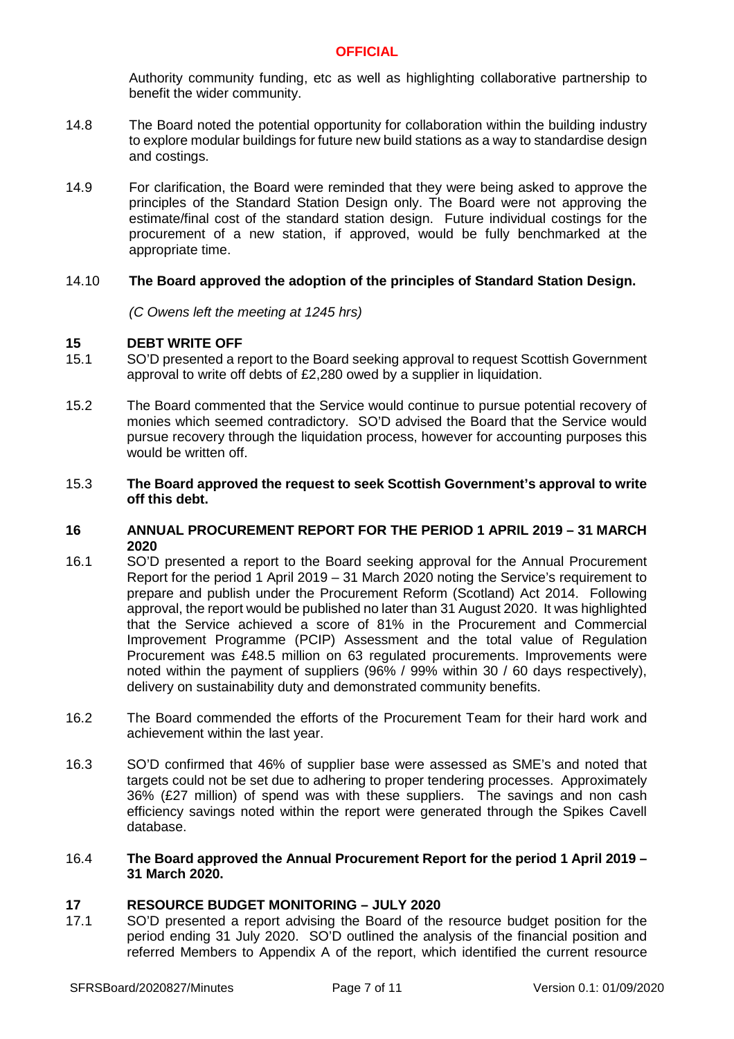Authority community funding, etc as well as highlighting collaborative partnership to benefit the wider community.

- 14.8 The Board noted the potential opportunity for collaboration within the building industry to explore modular buildings for future new build stations as a way to standardise design and costings.
- 14.9 For clarification, the Board were reminded that they were being asked to approve the principles of the Standard Station Design only. The Board were not approving the estimate/final cost of the standard station design. Future individual costings for the procurement of a new station, if approved, would be fully benchmarked at the appropriate time.

#### 14.10 **The Board approved the adoption of the principles of Standard Station Design.**

*(C Owens left the meeting at 1245 hrs)*

### **15 DEBT WRITE OFF**

- 15.1 SO'D presented a report to the Board seeking approval to request Scottish Government approval to write off debts of £2,280 owed by a supplier in liquidation.
- 15.2 The Board commented that the Service would continue to pursue potential recovery of monies which seemed contradictory. SO'D advised the Board that the Service would pursue recovery through the liquidation process, however for accounting purposes this would be written off.

#### 15.3 **The Board approved the request to seek Scottish Government's approval to write off this debt.**

### **16 ANNUAL PROCUREMENT REPORT FOR THE PERIOD 1 APRIL 2019 – 31 MARCH 2020**

- 16.1 SO'D presented a report to the Board seeking approval for the Annual Procurement Report for the period 1 April 2019 – 31 March 2020 noting the Service's requirement to prepare and publish under the Procurement Reform (Scotland) Act 2014. Following approval, the report would be published no later than 31 August 2020. It was highlighted that the Service achieved a score of 81% in the Procurement and Commercial Improvement Programme (PCIP) Assessment and the total value of Regulation Procurement was £48.5 million on 63 regulated procurements. Improvements were noted within the payment of suppliers (96% / 99% within 30 / 60 days respectively), delivery on sustainability duty and demonstrated community benefits.
- 16.2 The Board commended the efforts of the Procurement Team for their hard work and achievement within the last year.
- 16.3 SO'D confirmed that 46% of supplier base were assessed as SME's and noted that targets could not be set due to adhering to proper tendering processes. Approximately 36% (£27 million) of spend was with these suppliers. The savings and non cash efficiency savings noted within the report were generated through the Spikes Cavell database.

#### 16.4 **The Board approved the Annual Procurement Report for the period 1 April 2019 – 31 March 2020.**

# **17 RESOURCE BUDGET MONITORING – JULY 2020**

17.1 SO'D presented a report advising the Board of the resource budget position for the period ending 31 July 2020. SO'D outlined the analysis of the financial position and referred Members to Appendix A of the report, which identified the current resource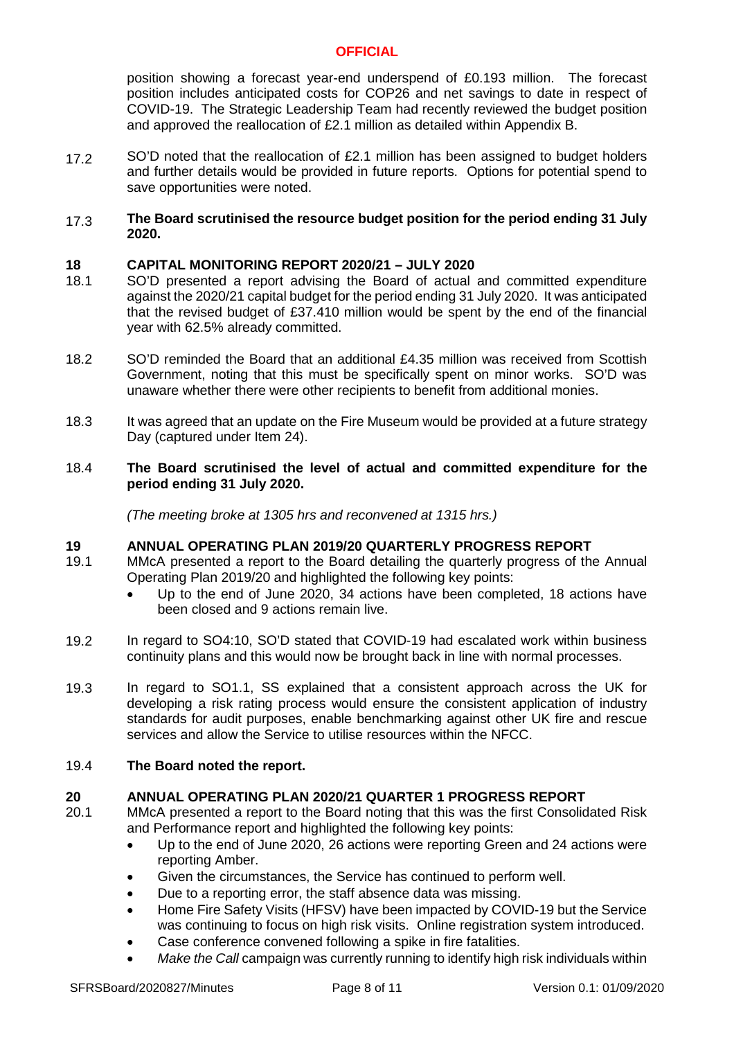position showing a forecast year-end underspend of £0.193 million. The forecast position includes anticipated costs for COP26 and net savings to date in respect of COVID-19. The Strategic Leadership Team had recently reviewed the budget position and approved the reallocation of £2.1 million as detailed within Appendix B.

17.2 SO'D noted that the reallocation of £2.1 million has been assigned to budget holders and further details would be provided in future reports. Options for potential spend to save opportunities were noted.

### 17.3 **The Board scrutinised the resource budget position for the period ending 31 July 2020.**

### **18 CAPITAL MONITORING REPORT 2020/21 – JULY 2020**

- 18.1 SO'D presented a report advising the Board of actual and committed expenditure against the 2020/21 capital budget for the period ending 31 July 2020. It was anticipated that the revised budget of £37.410 million would be spent by the end of the financial year with 62.5% already committed.
- 18.2 SO'D reminded the Board that an additional £4.35 million was received from Scottish Government, noting that this must be specifically spent on minor works. SO'D was unaware whether there were other recipients to benefit from additional monies.
- 18.3 It was agreed that an update on the Fire Museum would be provided at a future strategy Day (captured under Item 24).

#### 18.4 **The Board scrutinised the level of actual and committed expenditure for the period ending 31 July 2020.**

*(The meeting broke at 1305 hrs and reconvened at 1315 hrs.)*

### **19 ANNUAL OPERATING PLAN 2019/20 QUARTERLY PROGRESS REPORT**

- 19.1 MMcA presented a report to the Board detailing the quarterly progress of the Annual Operating Plan 2019/20 and highlighted the following key points:
	- Up to the end of June 2020, 34 actions have been completed, 18 actions have been closed and 9 actions remain live.
- 19.2 In regard to SO4:10, SO'D stated that COVID-19 had escalated work within business continuity plans and this would now be brought back in line with normal processes.
- 19.3 In regard to SO1.1, SS explained that a consistent approach across the UK for developing a risk rating process would ensure the consistent application of industry standards for audit purposes, enable benchmarking against other UK fire and rescue services and allow the Service to utilise resources within the NFCC.

#### 19.4 **The Board noted the report.**

### **20 ANNUAL OPERATING PLAN 2020/21 QUARTER 1 PROGRESS REPORT**

- 20.1 MMcA presented a report to the Board noting that this was the first Consolidated Risk and Performance report and highlighted the following key points:
	- Up to the end of June 2020, 26 actions were reporting Green and 24 actions were reporting Amber.
	- Given the circumstances, the Service has continued to perform well.
	- Due to a reporting error, the staff absence data was missing.
	- Home Fire Safety Visits (HFSV) have been impacted by COVID-19 but the Service was continuing to focus on high risk visits. Online registration system introduced.
	- Case conference convened following a spike in fire fatalities.
	- *Make the Call* campaign was currently running to identify high risk individuals within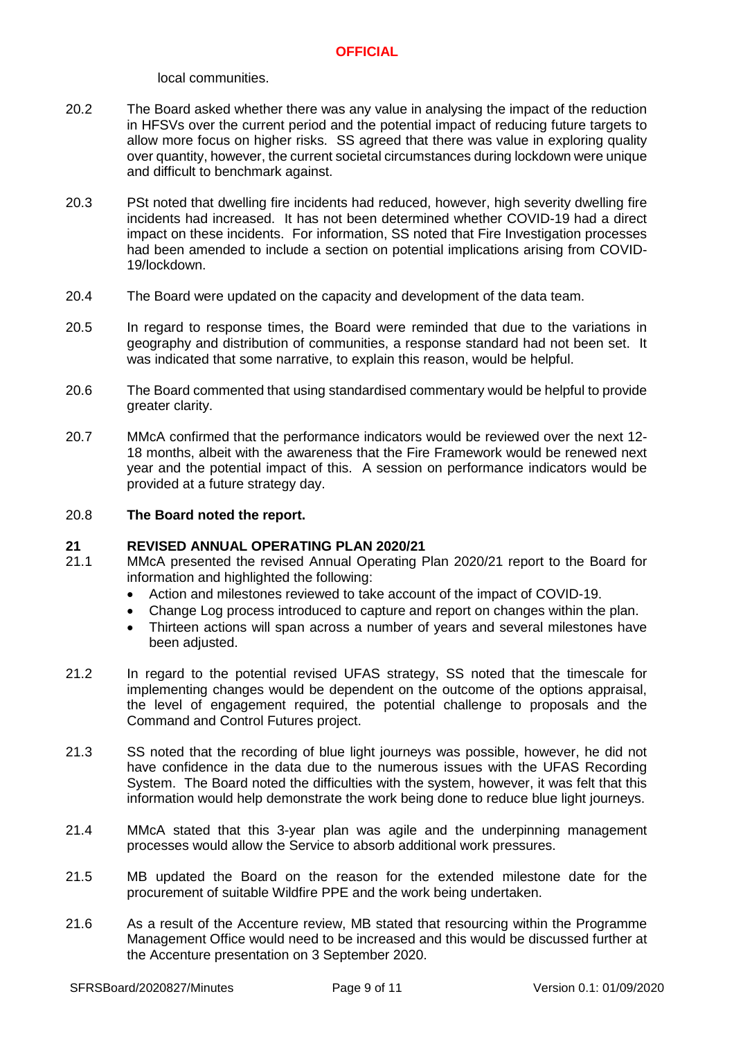local communities.

- 20.2 The Board asked whether there was any value in analysing the impact of the reduction in HFSVs over the current period and the potential impact of reducing future targets to allow more focus on higher risks. SS agreed that there was value in exploring quality over quantity, however, the current societal circumstances during lockdown were unique and difficult to benchmark against.
- 20.3 PSt noted that dwelling fire incidents had reduced, however, high severity dwelling fire incidents had increased. It has not been determined whether COVID-19 had a direct impact on these incidents. For information, SS noted that Fire Investigation processes had been amended to include a section on potential implications arising from COVID-19/lockdown.
- 20.4 The Board were updated on the capacity and development of the data team.
- 20.5 In regard to response times, the Board were reminded that due to the variations in geography and distribution of communities, a response standard had not been set. It was indicated that some narrative, to explain this reason, would be helpful.
- 20.6 The Board commented that using standardised commentary would be helpful to provide greater clarity.
- 20.7 MMcA confirmed that the performance indicators would be reviewed over the next 12- 18 months, albeit with the awareness that the Fire Framework would be renewed next year and the potential impact of this. A session on performance indicators would be provided at a future strategy day.

#### 20.8 **The Board noted the report.**

### **21 REVISED ANNUAL OPERATING PLAN 2020/21**

- 21.1 MMcA presented the revised Annual Operating Plan 2020/21 report to the Board for information and highlighted the following:
	- Action and milestones reviewed to take account of the impact of COVID-19.
	- Change Log process introduced to capture and report on changes within the plan.
	- Thirteen actions will span across a number of years and several milestones have been adjusted.
- 21.2 In regard to the potential revised UFAS strategy, SS noted that the timescale for implementing changes would be dependent on the outcome of the options appraisal, the level of engagement required, the potential challenge to proposals and the Command and Control Futures project.
- 21.3 SS noted that the recording of blue light journeys was possible, however, he did not have confidence in the data due to the numerous issues with the UFAS Recording System. The Board noted the difficulties with the system, however, it was felt that this information would help demonstrate the work being done to reduce blue light journeys.
- 21.4 MMcA stated that this 3-year plan was agile and the underpinning management processes would allow the Service to absorb additional work pressures.
- 21.5 MB updated the Board on the reason for the extended milestone date for the procurement of suitable Wildfire PPE and the work being undertaken.
- 21.6 As a result of the Accenture review, MB stated that resourcing within the Programme Management Office would need to be increased and this would be discussed further at the Accenture presentation on 3 September 2020.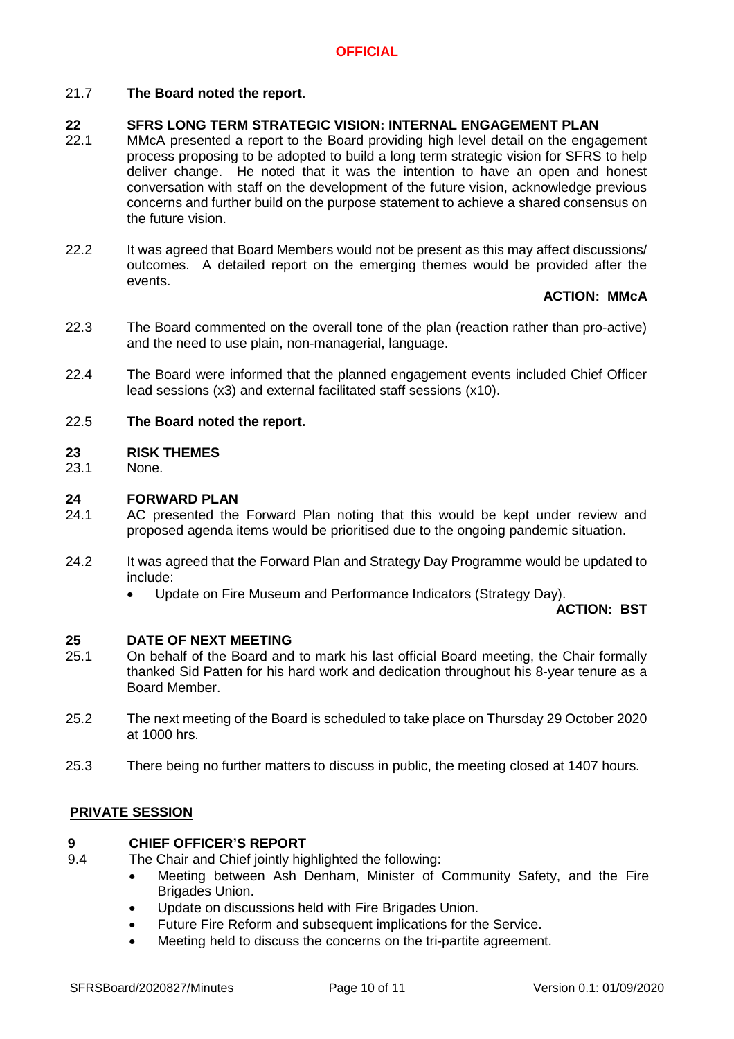### 21.7 **The Board noted the report.**

#### **22 SFRS LONG TERM STRATEGIC VISION: INTERNAL ENGAGEMENT PLAN**

- 22.1 MMcA presented a report to the Board providing high level detail on the engagement process proposing to be adopted to build a long term strategic vision for SFRS to help deliver change. He noted that it was the intention to have an open and honest conversation with staff on the development of the future vision, acknowledge previous concerns and further build on the purpose statement to achieve a shared consensus on the future vision.
- 22.2 It was agreed that Board Members would not be present as this may affect discussions/ outcomes. A detailed report on the emerging themes would be provided after the events.

### **ACTION: MMcA**

- 22.3 The Board commented on the overall tone of the plan (reaction rather than pro-active) and the need to use plain, non-managerial, language.
- 22.4 The Board were informed that the planned engagement events included Chief Officer lead sessions (x3) and external facilitated staff sessions (x10).

#### 22.5 **The Board noted the report.**

### **23 RISK THEMES**

23.1 None.

### **24 FORWARD PLAN**

- 24.1 AC presented the Forward Plan noting that this would be kept under review and proposed agenda items would be prioritised due to the ongoing pandemic situation.
- 24.2 It was agreed that the Forward Plan and Strategy Day Programme would be updated to include:
	- Update on Fire Museum and Performance Indicators (Strategy Day).

**ACTION: BST**

### **25 DATE OF NEXT MEETING**

- 25.1 On behalf of the Board and to mark his last official Board meeting, the Chair formally thanked Sid Patten for his hard work and dedication throughout his 8-year tenure as a Board Member.
- 25.2 The next meeting of the Board is scheduled to take place on Thursday 29 October 2020 at 1000 hrs.
- 25.3 There being no further matters to discuss in public, the meeting closed at 1407 hours.

### **PRIVATE SESSION**

#### **9 CHIEF OFFICER'S REPORT**

- 9.4 The Chair and Chief jointly highlighted the following:
	- Meeting between Ash Denham, Minister of Community Safety, and the Fire Brigades Union.
	- Update on discussions held with Fire Brigades Union.
	- Future Fire Reform and subsequent implications for the Service.
	- Meeting held to discuss the concerns on the tri-partite agreement.